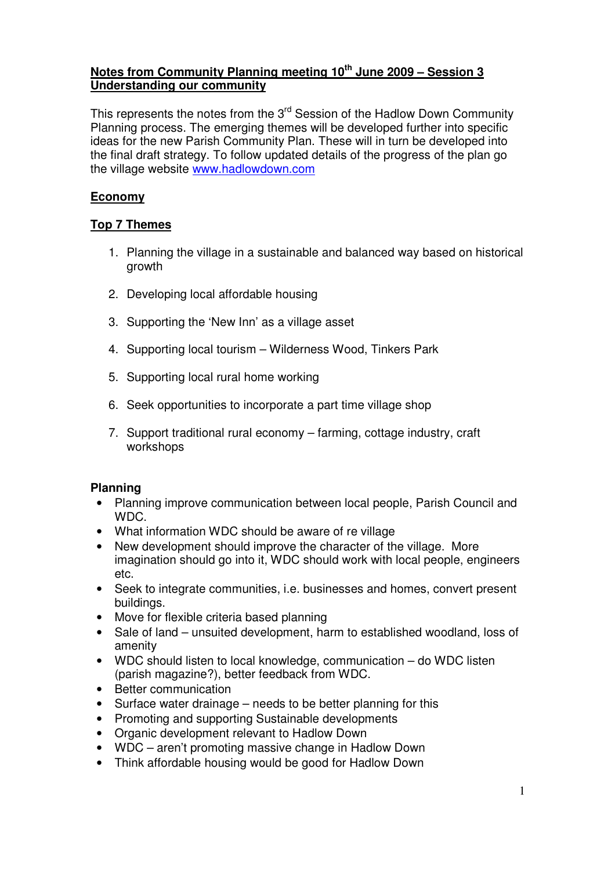## **Notes from Community Planning meeting 10th June 2009 – Session 3 Understanding our community**

This represents the notes from the 3<sup>rd</sup> Session of the Hadlow Down Community Planning process. The emerging themes will be developed further into specific ideas for the new Parish Community Plan. These will in turn be developed into the final draft strategy. To follow updated details of the progress of the plan go the village website www.hadlowdown.com

# **Economy**

# **Top 7 Themes**

- 1. Planning the village in a sustainable and balanced way based on historical growth
- 2. Developing local affordable housing
- 3. Supporting the 'New Inn' as a village asset
- 4. Supporting local tourism Wilderness Wood, Tinkers Park
- 5. Supporting local rural home working
- 6. Seek opportunities to incorporate a part time village shop
- 7. Support traditional rural economy farming, cottage industry, craft workshops

# **Planning**

- Planning improve communication between local people, Parish Council and WDC.
- What information WDC should be aware of re village
- New development should improve the character of the village. More imagination should go into it, WDC should work with local people, engineers etc.
- Seek to integrate communities, i.e. businesses and homes, convert present buildings.
- Move for flexible criteria based planning
- Sale of land unsuited development, harm to established woodland, loss of amenity
- WDC should listen to local knowledge, communication do WDC listen (parish magazine?), better feedback from WDC.
- Better communication
- Surface water drainage needs to be better planning for this
- Promoting and supporting Sustainable developments
- Organic development relevant to Hadlow Down
- WDC aren't promoting massive change in Hadlow Down
- Think affordable housing would be good for Hadlow Down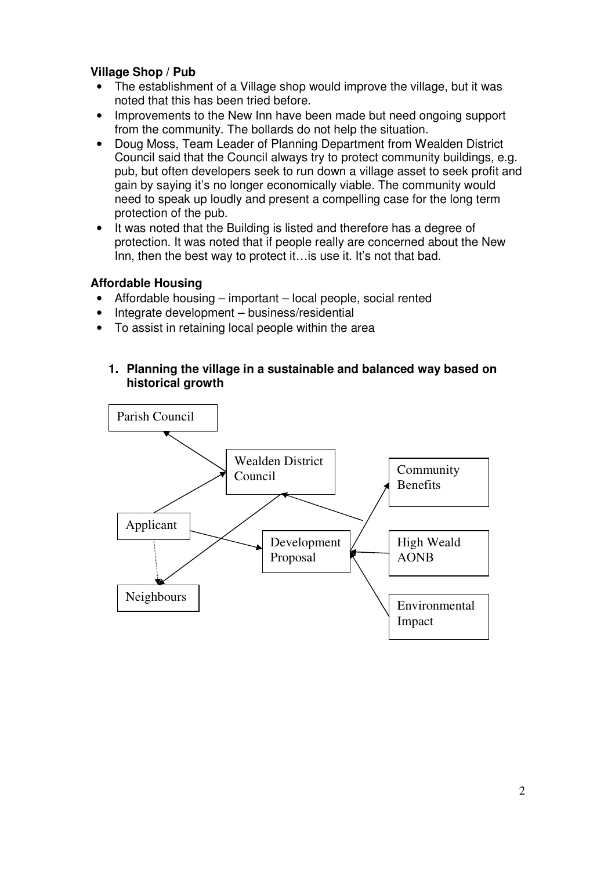## **Village Shop / Pub**

- The establishment of a Village shop would improve the village, but it was noted that this has been tried before.
- Improvements to the New Inn have been made but need ongoing support from the community. The bollards do not help the situation.
- Doug Moss, Team Leader of Planning Department from Wealden District Council said that the Council always try to protect community buildings, e.g. pub, but often developers seek to run down a village asset to seek profit and gain by saying it's no longer economically viable. The community would need to speak up loudly and present a compelling case for the long term protection of the pub.
- It was noted that the Building is listed and therefore has a degree of protection. It was noted that if people really are concerned about the New Inn, then the best way to protect it... is use it. It's not that bad.

## **Affordable Housing**

- Affordable housing important local people, social rented
- Integrate development business/residential
- To assist in retaining local people within the area
	- **1. Planning the village in a sustainable and balanced way based on historical growth**

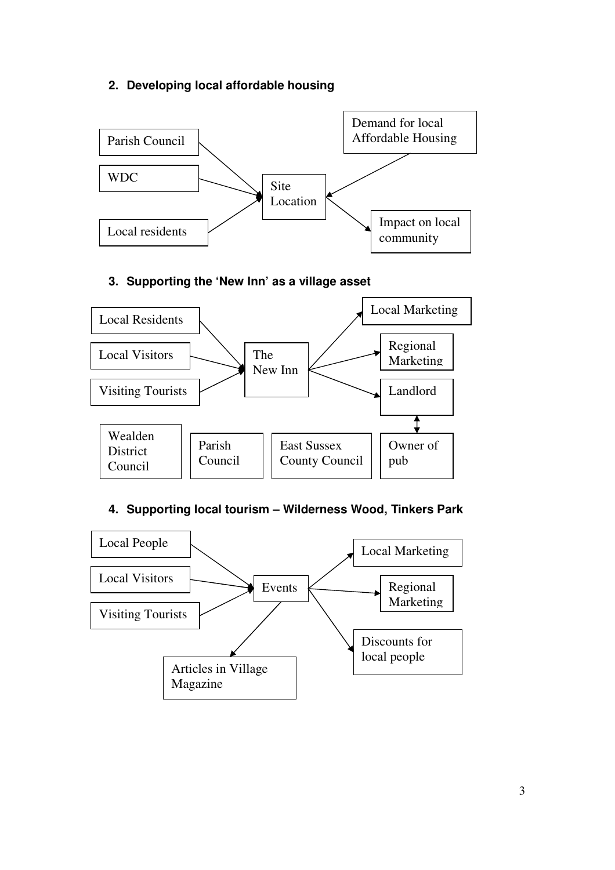# **2. Developing local affordable housing**



## **3. Supporting the 'New Inn' as a village asset**



# **4. Supporting local tourism – Wilderness Wood, Tinkers Park**

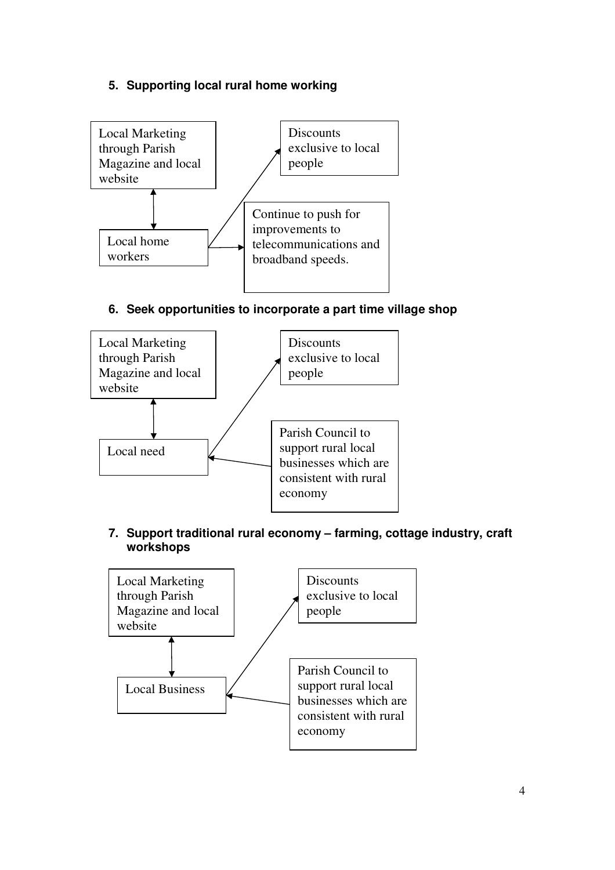## **5. Supporting local rural home working**



**6. Seek opportunities to incorporate a part time village shop** 



**7. Support traditional rural economy – farming, cottage industry, craft workshops** 

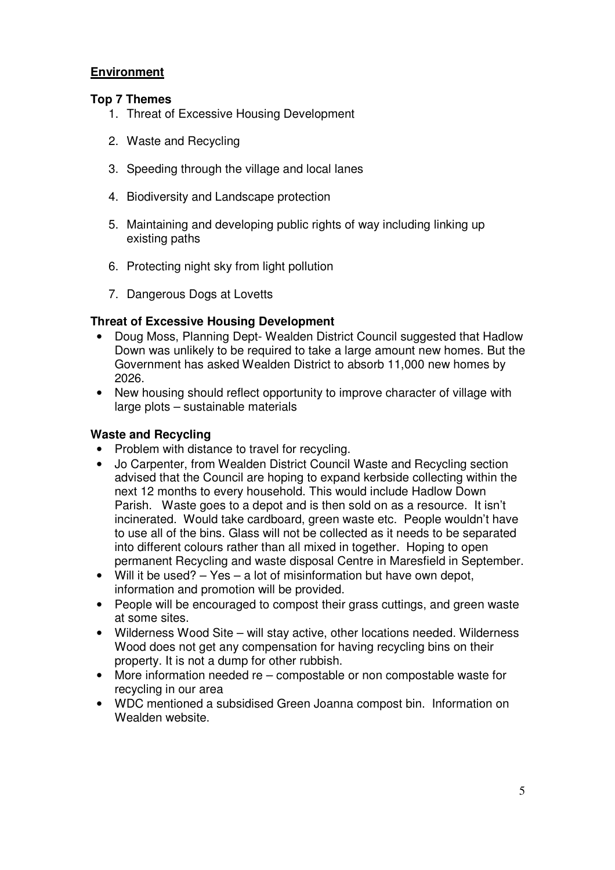## **Environment**

### **Top 7 Themes**

- 1. Threat of Excessive Housing Development
- 2. Waste and Recycling
- 3. Speeding through the village and local lanes
- 4. Biodiversity and Landscape protection
- 5. Maintaining and developing public rights of way including linking up existing paths
- 6. Protecting night sky from light pollution
- 7. Dangerous Dogs at Lovetts

## **Threat of Excessive Housing Development**

- Doug Moss, Planning Dept- Wealden District Council suggested that Hadlow Down was unlikely to be required to take a large amount new homes. But the Government has asked Wealden District to absorb 11,000 new homes by 2026.
- New housing should reflect opportunity to improve character of village with large plots – sustainable materials

### **Waste and Recycling**

- Problem with distance to travel for recycling.
- Jo Carpenter, from Wealden District Council Waste and Recycling section advised that the Council are hoping to expand kerbside collecting within the next 12 months to every household. This would include Hadlow Down Parish. Waste goes to a depot and is then sold on as a resource. It isn't incinerated. Would take cardboard, green waste etc. People wouldn't have to use all of the bins. Glass will not be collected as it needs to be separated into different colours rather than all mixed in together. Hoping to open permanent Recycling and waste disposal Centre in Maresfield in September.
- Will it be used? Yes a lot of misinformation but have own depot, information and promotion will be provided.
- People will be encouraged to compost their grass cuttings, and green waste at some sites.
- Wilderness Wood Site will stay active, other locations needed. Wilderness Wood does not get any compensation for having recycling bins on their property. It is not a dump for other rubbish.
- More information needed re compostable or non compostable waste for recycling in our area
- WDC mentioned a subsidised Green Joanna compost bin. Information on Wealden website.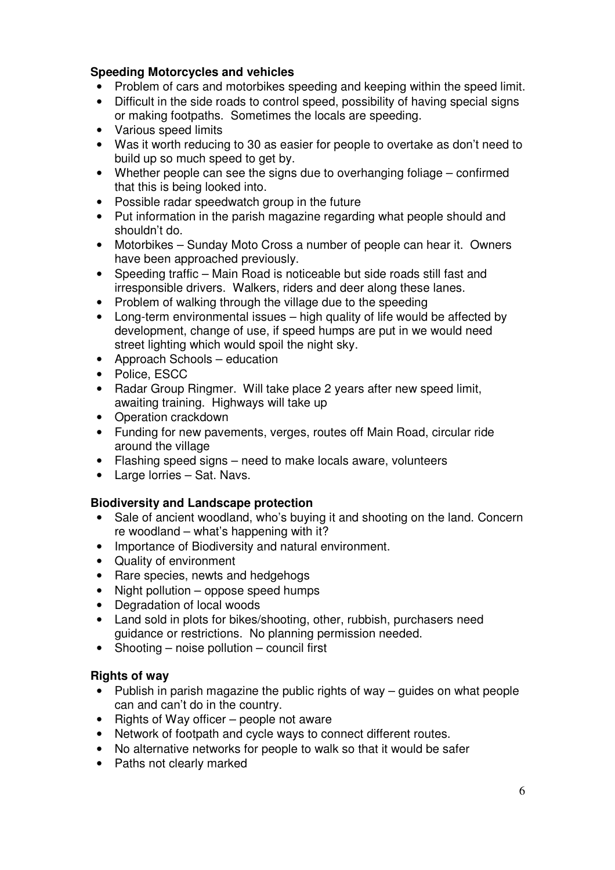## **Speeding Motorcycles and vehicles**

- Problem of cars and motorbikes speeding and keeping within the speed limit.
- Difficult in the side roads to control speed, possibility of having special signs or making footpaths. Sometimes the locals are speeding.
- Various speed limits
- Was it worth reducing to 30 as easier for people to overtake as don't need to build up so much speed to get by.
- Whether people can see the signs due to overhanging foliage confirmed that this is being looked into.
- Possible radar speedwatch group in the future
- Put information in the parish magazine regarding what people should and shouldn't do.
- Motorbikes Sunday Moto Cross a number of people can hear it. Owners have been approached previously.
- Speeding traffic Main Road is noticeable but side roads still fast and irresponsible drivers. Walkers, riders and deer along these lanes.
- Problem of walking through the village due to the speeding
- Long-term environmental issues high quality of life would be affected by development, change of use, if speed humps are put in we would need street lighting which would spoil the night sky.
- Approach Schools education
- Police, ESCC
- Radar Group Ringmer. Will take place 2 years after new speed limit, awaiting training. Highways will take up
- Operation crackdown
- Funding for new pavements, verges, routes off Main Road, circular ride around the village
- Flashing speed signs need to make locals aware, volunteers
- Large lorries Sat. Navs.

# **Biodiversity and Landscape protection**

- Sale of ancient woodland, who's buying it and shooting on the land. Concern re woodland – what's happening with it?
- Importance of Biodiversity and natural environment.
- Quality of environment
- Rare species, newts and hedgehogs
- Night pollution oppose speed humps
- Degradation of local woods
- Land sold in plots for bikes/shooting, other, rubbish, purchasers need guidance or restrictions. No planning permission needed.
- Shooting noise pollution council first

# **Rights of way**

- Publish in parish magazine the public rights of way guides on what people can and can't do in the country.
- Rights of Way officer people not aware
- Network of footpath and cycle ways to connect different routes.
- No alternative networks for people to walk so that it would be safer
- Paths not clearly marked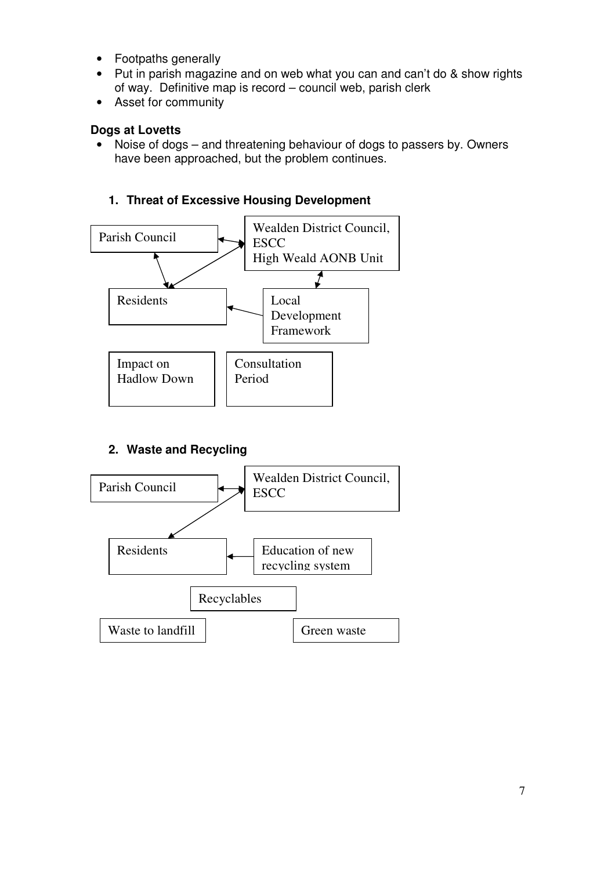- Footpaths generally
- Put in parish magazine and on web what you can and can't do & show rights of way. Definitive map is record – council web, parish clerk
- Asset for community

### **Dogs at Lovetts**

• Noise of dogs – and threatening behaviour of dogs to passers by. Owners have been approached, but the problem continues.

# **1. Threat of Excessive Housing Development**



# **2. Waste and Recycling**

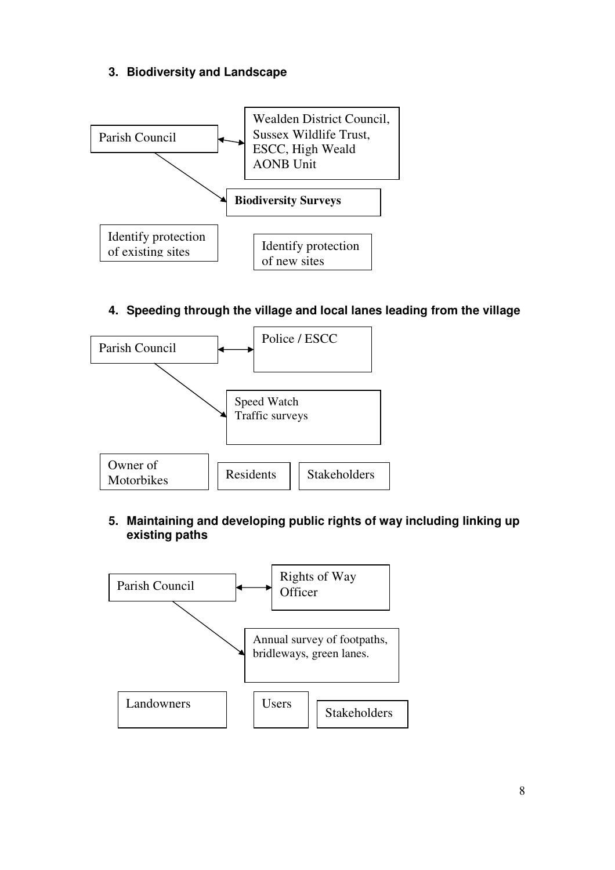# **3. Biodiversity and Landscape**



**4. Speeding through the village and local lanes leading from the village** 



## **5. Maintaining and developing public rights of way including linking up existing paths**

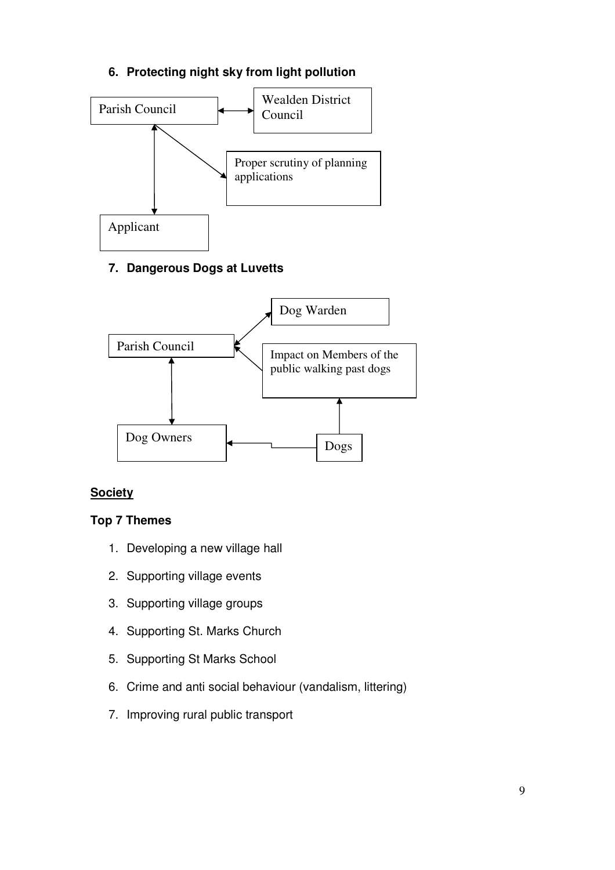# **6. Protecting night sky from light pollution**



# **7. Dangerous Dogs at Luvetts**



# **Society**

# **Top 7 Themes**

- 1. Developing a new village hall
- 2. Supporting village events
- 3. Supporting village groups
- 4. Supporting St. Marks Church
- 5. Supporting St Marks School
- 6. Crime and anti social behaviour (vandalism, littering)
- 7. Improving rural public transport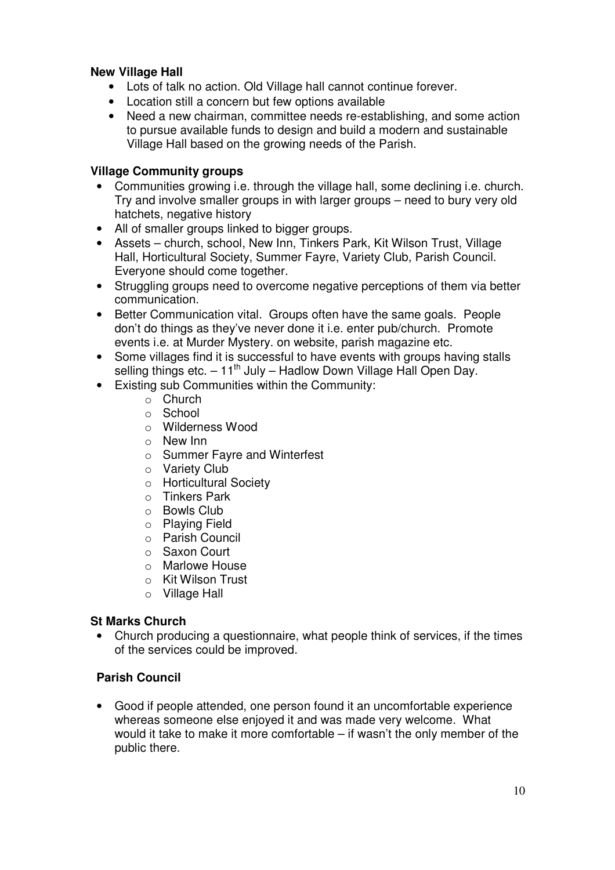## **New Village Hall**

- Lots of talk no action. Old Village hall cannot continue forever.
- Location still a concern but few options available
- Need a new chairman, committee needs re-establishing, and some action to pursue available funds to design and build a modern and sustainable Village Hall based on the growing needs of the Parish.

### **Village Community groups**

- Communities growing i.e. through the village hall, some declining i.e. church. Try and involve smaller groups in with larger groups – need to bury very old hatchets, negative history
- All of smaller groups linked to bigger groups.
- Assets church, school, New Inn, Tinkers Park, Kit Wilson Trust, Village Hall, Horticultural Society, Summer Fayre, Variety Club, Parish Council. Everyone should come together.
- Struggling groups need to overcome negative perceptions of them via better communication.
- Better Communication vital. Groups often have the same goals. People don't do things as they've never done it i.e. enter pub/church. Promote events i.e. at Murder Mystery. on website, parish magazine etc.
- Some villages find it is successful to have events with groups having stalls selling things etc.  $-11^{th}$  July – Hadlow Down Village Hall Open Day.
- Existing sub Communities within the Community:
	- o Church
	- o School
	- o Wilderness Wood
	- o New Inn
	- o Summer Fayre and Winterfest
	- o Variety Club
	- o Horticultural Society
	- o Tinkers Park
	- o Bowls Club
	- o Playing Field
	- o Parish Council
	- o Saxon Court
	- o Marlowe House
	- o Kit Wilson Trust
	- o Village Hall

### **St Marks Church**

• Church producing a questionnaire, what people think of services, if the times of the services could be improved.

### **Parish Council**

• Good if people attended, one person found it an uncomfortable experience whereas someone else enjoyed it and was made very welcome. What would it take to make it more comfortable – if wasn't the only member of the public there.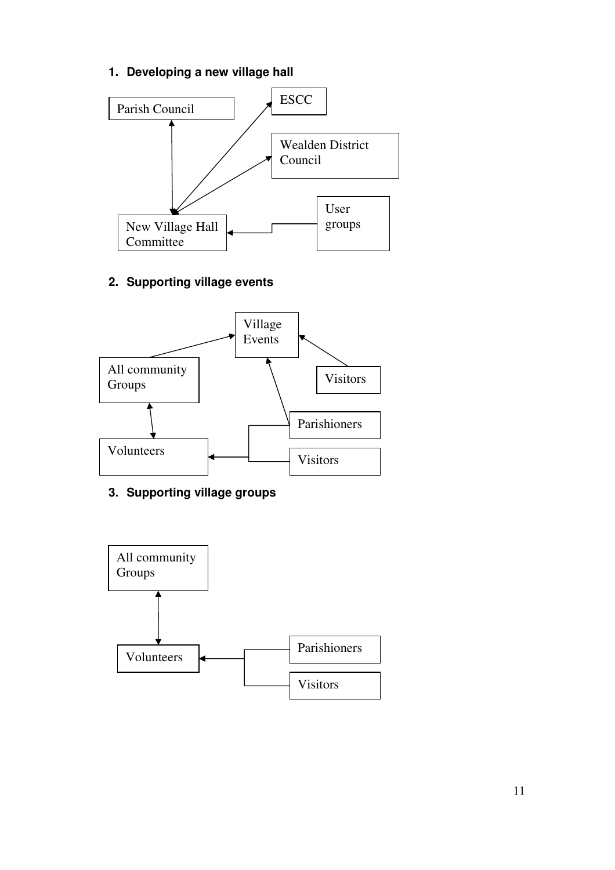# **1. Developing a new village hall**



# **2. Supporting village events**



# **3. Supporting village groups**

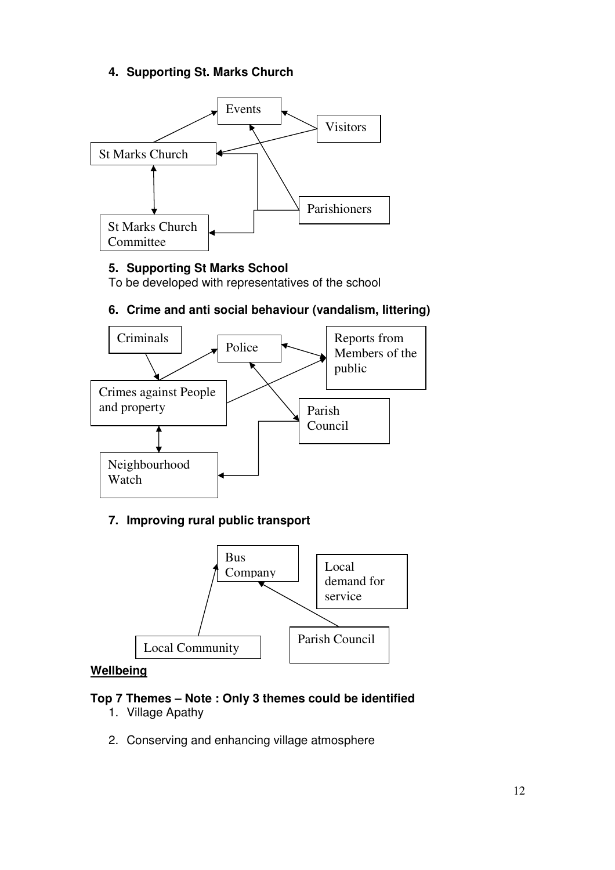# **4. Supporting St. Marks Church**



# **5. Supporting St Marks School**

To be developed with representatives of the school

## **6. Crime and anti social behaviour (vandalism, littering)**



# **7. Improving rural public transport**



#### **Wellbeing**

### **Top 7 Themes – Note : Only 3 themes could be identified**

- 1. Village Apathy
- 2. Conserving and enhancing village atmosphere